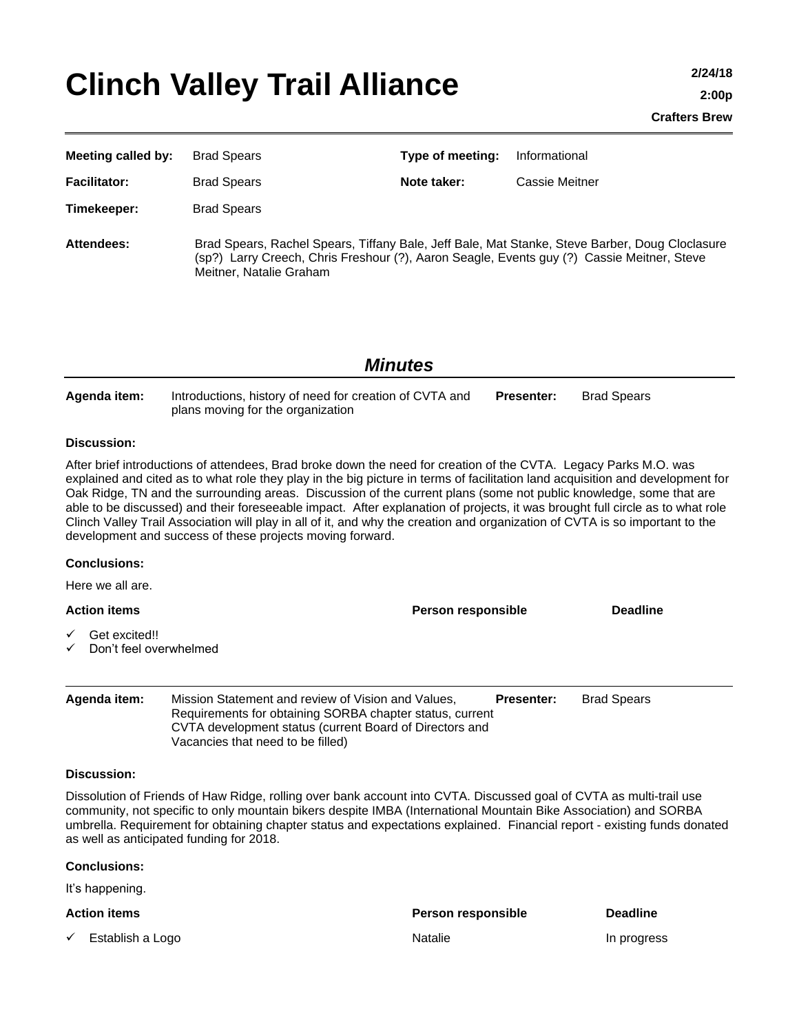# Clinch Valley Trail Alliance **2/24/18**

| <b>Meeting called by:</b>                                                                                                                                                                                                                                                                                                                                                                                                                                                                                                                                                                                                                                                                              | <b>Brad Spears</b>                                                                                                                                                                                                      | Type of meeting:   | Informational         |                    |  |  |  |
|--------------------------------------------------------------------------------------------------------------------------------------------------------------------------------------------------------------------------------------------------------------------------------------------------------------------------------------------------------------------------------------------------------------------------------------------------------------------------------------------------------------------------------------------------------------------------------------------------------------------------------------------------------------------------------------------------------|-------------------------------------------------------------------------------------------------------------------------------------------------------------------------------------------------------------------------|--------------------|-----------------------|--------------------|--|--|--|
| <b>Facilitator:</b>                                                                                                                                                                                                                                                                                                                                                                                                                                                                                                                                                                                                                                                                                    | <b>Brad Spears</b>                                                                                                                                                                                                      | Note taker:        | <b>Cassie Meitner</b> |                    |  |  |  |
| Timekeeper:                                                                                                                                                                                                                                                                                                                                                                                                                                                                                                                                                                                                                                                                                            | <b>Brad Spears</b>                                                                                                                                                                                                      |                    |                       |                    |  |  |  |
| <b>Attendees:</b>                                                                                                                                                                                                                                                                                                                                                                                                                                                                                                                                                                                                                                                                                      | Brad Spears, Rachel Spears, Tiffany Bale, Jeff Bale, Mat Stanke, Steve Barber, Doug Cloclasure<br>(sp?) Larry Creech, Chris Freshour (?), Aaron Seagle, Events guy (?) Cassie Meitner, Steve<br>Meitner, Natalie Graham |                    |                       |                    |  |  |  |
| <b>Minutes</b>                                                                                                                                                                                                                                                                                                                                                                                                                                                                                                                                                                                                                                                                                         |                                                                                                                                                                                                                         |                    |                       |                    |  |  |  |
| Agenda item:                                                                                                                                                                                                                                                                                                                                                                                                                                                                                                                                                                                                                                                                                           | Introductions, history of need for creation of CVTA and<br>plans moving for the organization                                                                                                                            |                    | <b>Presenter:</b>     | <b>Brad Spears</b> |  |  |  |
| <b>Discussion:</b>                                                                                                                                                                                                                                                                                                                                                                                                                                                                                                                                                                                                                                                                                     |                                                                                                                                                                                                                         |                    |                       |                    |  |  |  |
| After brief introductions of attendees, Brad broke down the need for creation of the CVTA. Legacy Parks M.O. was<br>explained and cited as to what role they play in the big picture in terms of facilitation land acquisition and development for<br>Oak Ridge, TN and the surrounding areas. Discussion of the current plans (some not public knowledge, some that are<br>able to be discussed) and their foreseeable impact. After explanation of projects, it was brought full circle as to what role<br>Clinch Valley Trail Association will play in all of it, and why the creation and organization of CVTA is so important to the<br>development and success of these projects moving forward. |                                                                                                                                                                                                                         |                    |                       |                    |  |  |  |
| <b>Conclusions:</b>                                                                                                                                                                                                                                                                                                                                                                                                                                                                                                                                                                                                                                                                                    |                                                                                                                                                                                                                         |                    |                       |                    |  |  |  |
| Here we all are.                                                                                                                                                                                                                                                                                                                                                                                                                                                                                                                                                                                                                                                                                       |                                                                                                                                                                                                                         |                    |                       |                    |  |  |  |
| <b>Action items</b>                                                                                                                                                                                                                                                                                                                                                                                                                                                                                                                                                                                                                                                                                    |                                                                                                                                                                                                                         | Person responsible |                       | <b>Deadline</b>    |  |  |  |
| Get excited!!<br>Don't feel overwhelmed                                                                                                                                                                                                                                                                                                                                                                                                                                                                                                                                                                                                                                                                |                                                                                                                                                                                                                         |                    |                       |                    |  |  |  |
| Agenda item:                                                                                                                                                                                                                                                                                                                                                                                                                                                                                                                                                                                                                                                                                           | Mission Statement and review of Vision and Values,<br>Requirements for obtaining SORBA chapter status, current<br>CVTA development status (current Board of Directors and<br>Vacancies that need to be filled)          |                    | <b>Presenter:</b>     | <b>Brad Spears</b> |  |  |  |
| <b>Discussion:</b>                                                                                                                                                                                                                                                                                                                                                                                                                                                                                                                                                                                                                                                                                     |                                                                                                                                                                                                                         |                    |                       |                    |  |  |  |
| Dissolution of Friends of Haw Ridge, rolling over bank account into CVTA. Discussed goal of CVTA as multi-trail use<br>community, not specific to only mountain bikers despite IMBA (International Mountain Bike Association) and SORBA<br>umbrella. Requirement for obtaining chapter status and expectations explained. Financial report - existing funds donated<br>as well as anticipated funding for 2018.                                                                                                                                                                                                                                                                                        |                                                                                                                                                                                                                         |                    |                       |                    |  |  |  |
| <b>Conclusions:</b>                                                                                                                                                                                                                                                                                                                                                                                                                                                                                                                                                                                                                                                                                    |                                                                                                                                                                                                                         |                    |                       |                    |  |  |  |
| It's happening.                                                                                                                                                                                                                                                                                                                                                                                                                                                                                                                                                                                                                                                                                        |                                                                                                                                                                                                                         |                    |                       |                    |  |  |  |
| <b>Action items</b>                                                                                                                                                                                                                                                                                                                                                                                                                                                                                                                                                                                                                                                                                    |                                                                                                                                                                                                                         | Person responsible |                       | <b>Deadline</b>    |  |  |  |

◆ Establish a Logo Natalie In progress